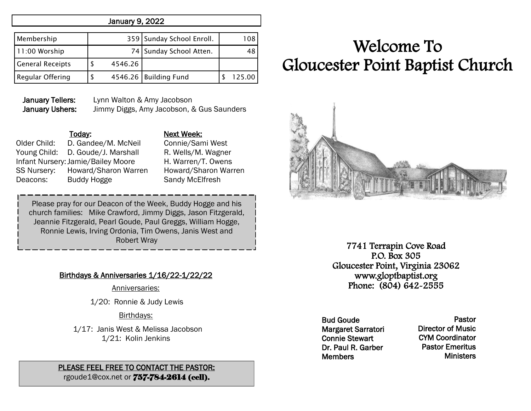#### January 9, 2022

| Membership              |         | 359 Sunday School Enroll. | 108    |
|-------------------------|---------|---------------------------|--------|
| 11:00 Worship           |         | 74 Sunday School Atten.   | 48     |
| <b>General Receipts</b> | 4546.26 |                           |        |
| <b>Regular Offering</b> |         | 4546.26 Building Fund     | 125.00 |

January Tellers: Lynn Walton & Amy Jacobson January Ushers: Jimmy Diggs, Amy Jacobson, & Gus Saunders

Older Child: D. Gandee/M. McNeil Connie/Sami West Young Child: D. Goude/J. Marshall R. Wells/M. Wagner Infant Nursery:Jamie/Bailey Moore H. Warren/T. Owens SS Nursery: Howard/Sharon Warren Howard/Sharon Warren Deacons: Buddy Hogge Sandy McElfresh

## Today: Next Week:

Please pray for our Deacon of the Week, Buddy Hogge and his church families: Mike Crawford, Jimmy Diggs, Jason Fitzgerald, Jeannie Fitzgerald, Pearl Goude, Paul Greggs, William Hogge, Ronnie Lewis, Irving Ordonia, Tim Owens, Janis West and Robert Wray

#### Birthdays & Anniversaries 1/16/22-1/22/22

Anniversaries:

1/20: Ronnie & Judy Lewis

#### Birthdays:

 1/17: Janis West & Melissa Jacobson 1/21: Kolin Jenkins

#### PLEASE FEEL FREE TO CONTACT THE PASTOR: rgoude1@cox.net or 757-784-2614 (cell).

# Welcome To Gloucester Point Baptist Church



7741 Terrapin Cove Road P.O. Box 305 Gloucester Point, Virginia 23062 www.gloptbaptist.org Phone: (804) 642-2555

Bud Goude Margaret Sarratori Connie Stewart Dr. Paul R. Garber **Members** 

Pastor Director of Music CYM Coordinator Pastor Emeritus **Ministers**